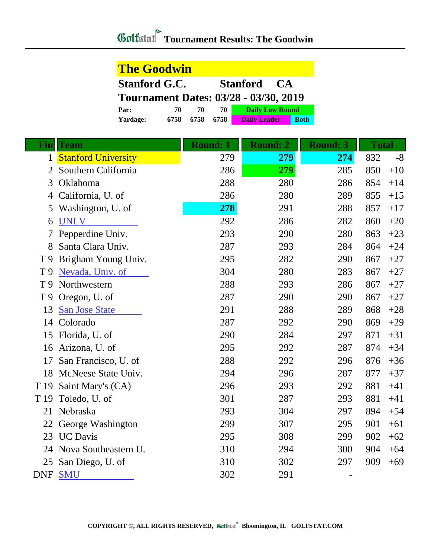## **Tournament Results: The Goodwin**

| <b>The Goodwin</b>                           |      |      |      |                        |  |             |
|----------------------------------------------|------|------|------|------------------------|--|-------------|
| <b>Stanford G.C.</b><br><b>Stanford CA</b>   |      |      |      |                        |  |             |
| <b>Tournament Dates: 03/28 - 03/30, 2019</b> |      |      |      |                        |  |             |
| Par:                                         | 70   | 70   | 70   | <b>Daily Low Round</b> |  |             |
| <b>Yardage:</b>                              | 6758 | 6758 | 6758 | <b>Daily Leader</b>    |  | <b>Roth</b> |

| Finl           | <b>Team</b>                | Round: 1 | <b>Round: 2</b> | <b>Round: 3</b> | <b>Total</b> |       |
|----------------|----------------------------|----------|-----------------|-----------------|--------------|-------|
| $\mathbf{1}$   | <b>Stanford University</b> | 279      | 279             | 274             | 832          | $-8$  |
| $\overline{2}$ | Southern California        | 286      | 279             | 285             | 850          | $+10$ |
| 3              | Oklahoma                   | 288      | 280             | 286             | 854          | $+14$ |
| $\overline{4}$ | California, U. of          | 286      | 280             | 289             | 855          | $+15$ |
| 5              | Washington, U. of          | 278      | 291             | 288             | 857          | $+17$ |
| 6              | <b>UNLV</b>                | 292      | 286             | 282             | 860          | $+20$ |
|                | Pepperdine Univ.           | 293      | 290             | 280             | 863          | $+23$ |
| 8              | Santa Clara Univ.          | 287      | 293             | 284             | 864          | $+24$ |
| T <sub>9</sub> | Brigham Young Univ.        | 295      | 282             | 290             | 867          | $+27$ |
| T <sub>9</sub> | Nevada, Univ. of           | 304      | 280             | 283             | 867          | $+27$ |
| T <sub>9</sub> | Northwestern               | 288      | 293             | 286             | 867          | $+27$ |
| T <sub>9</sub> | Oregon, U. of              | 287      | 290             | 290             | 867          | $+27$ |
| 13             | <b>San Jose State</b>      | 291      | 288             | 289             | 868          | $+28$ |
|                | 14 Colorado                | 287      | 292             | 290             | 869          | $+29$ |
| 15             | Florida, U. of             | 290      | 284             | 297             | 871          | $+31$ |
|                | 16 Arizona, U. of          | 295      | 292             | 287             | 874          | $+34$ |
| 17             | San Francisco, U. of       | 288      | 292             | 296             | 876          | $+36$ |
|                | 18 McNeese State Univ.     | 294      | 296             | 287             | 877          | $+37$ |
| T 19           | Saint Mary's (CA)          | 296      | 293             | 292             | 881          | $+41$ |
| T 19           | Toledo, U. of              | 301      | 287             | 293             | 881          | $+41$ |
| 21             | Nebraska                   | 293      | 304             | 297             | 894          | $+54$ |
| 22             | George Washington          | 299      | 307             | 295             | 901          | $+61$ |
| 23             | <b>UC</b> Davis            | 295      | 308             | 299             | 902          | $+62$ |
|                | 24 Nova Southeastern U.    | 310      | 294             | 300             | 904          | $+64$ |
| 25             | San Diego, U. of           | 310      | 302             | 297             | 909          | $+69$ |
| <b>DNF</b>     | <b>SMU</b>                 | 302      | 291             |                 |              |       |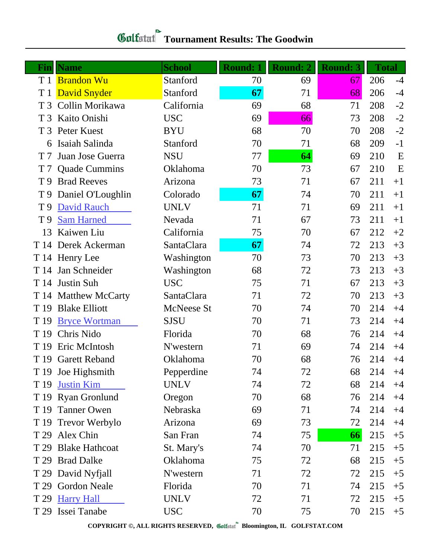| Finl           | <b>Name</b>           | <b>School</b>     | <b>Round: 1</b> | Round: 2 | <b>Round: 3</b> | <b>Total</b> |      |
|----------------|-----------------------|-------------------|-----------------|----------|-----------------|--------------|------|
| T 1            | <b>Brandon Wu</b>     | Stanford          | 70              | 69       | 67              | 206          | $-4$ |
|                | T 1 David Snyder      | Stanford          | 67              | 71       | 68              | 206          | $-4$ |
| T <sub>3</sub> | Collin Morikawa       | California        | 69              | 68       | 71              | 208          | $-2$ |
|                | T 3 Kaito Onishi      | <b>USC</b>        | 69              | 66       | 73              | 208          | $-2$ |
| T <sub>3</sub> | Peter Kuest           | <b>BYU</b>        | 68              | 70       | 70              | 208          | $-2$ |
|                | 6 Isaiah Salinda      | Stanford          | 70              | 71       | 68              | 209          | $-1$ |
| T <sub>7</sub> | Juan Jose Guerra      | <b>NSU</b>        | 77              | 64       | 69              | 210          | E    |
| T 7            | <b>Quade Cummins</b>  | Oklahoma          | 70              | 73       | 67              | 210          | E    |
| T 9            | <b>Brad Reeves</b>    | Arizona           | 73              | 71       | 67              | 211          | $+1$ |
|                | T 9 Daniel O'Loughlin | Colorado          | 67              | 74       | 70              | 211          | $+1$ |
| T <sub>9</sub> | <b>David Rauch</b>    | <b>UNLV</b>       | 71              | 71       | 69              | 211          | $+1$ |
| T 9            | <b>Sam Harned</b>     | Nevada            | 71              | 67       | 73              | 211          | $+1$ |
| 13             | Kaiwen Liu            | California        | 75              | 70       | 67              | 212          | $+2$ |
|                | T 14 Derek Ackerman   | SantaClara        | 67              | 74       | 72              | 213          | $+3$ |
|                | T 14 Henry Lee        | Washington        | 70              | 73       | 70              | 213          | $+3$ |
| T 14           | Jan Schneider         | Washington        | 68              | 72       | 73              | 213          | $+3$ |
|                | T 14 Justin Suh       | <b>USC</b>        | 75              | 71       | 67              | 213          | $+3$ |
|                | T 14 Matthew McCarty  | SantaClara        | 71              | 72       | 70              | 213          | $+3$ |
| T 19           | <b>Blake Elliott</b>  | <b>McNeese St</b> | 70              | 74       | 70              | 214          | $+4$ |
| T 19           | <b>Bryce Wortman</b>  | <b>SJSU</b>       | 70              | 71       | 73              | 214          | $+4$ |
| T 19           | Chris Nido            | Florida           | 70              | 68       | 76              | 214          | $+4$ |
|                | T 19 Eric McIntosh    | N'western         | 71              | 69       | 74              | 214          | $+4$ |
|                | T 19 Garett Reband    | Oklahoma          | 70              | 68       | 76              | 214          | $+4$ |
|                | T 19 Joe Highsmith    | Pepperdine        | 74              | 72       | 68              | 214          | $+4$ |
|                | T 19 Justin Kim       | <b>UNLV</b>       | 74              | 72       | 68              | 214          | $+4$ |
|                | T 19 Ryan Gronlund    | Oregon            | 70              | 68       | 76              | 214          | $+4$ |
|                | T 19 Tanner Owen      | Nebraska          | 69              | 71       | 74              | 214          | $+4$ |
|                | T 19 Trevor Werbylo   | Arizona           | 69              | 73       | 72              | 214          | $+4$ |
|                | T 29 Alex Chin        | San Fran          | 74              | 75       | 66              | 215          | $+5$ |
|                | T 29 Blake Hathcoat   | St. Mary's        | 74              | 70       | 71              | 215          | $+5$ |
|                | T 29 Brad Dalke       | Oklahoma          | 75              | 72       | 68              | 215          | $+5$ |
|                | T 29 David Nyfjall    | N'western         | 71              | 72       | 72              | 215          | $+5$ |
|                | T 29 Gordon Neale     | Florida           | 70              | 71       | 74              | 215          | $+5$ |
|                | T 29 Harry Hall       | <b>UNLV</b>       | 72              | 71       | 72              | 215          | $+5$ |
|                | T 29 Issei Tanabe     | <b>USC</b>        | 70              | 75       | 70              | 215          | $+5$ |

**COPYRIGHT ©, ALL RIGHTS RESERVED, Bloomington, IL GOLFSTAT.COM**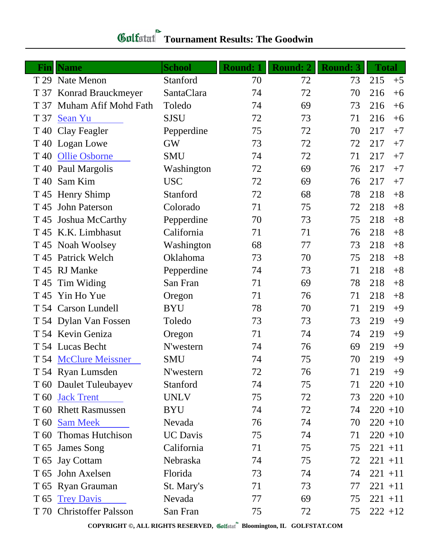## *Gulfatat* Tournament Results: The Goodwin

| $\mathbf{Fin}$ | <b>Name</b>              | <b>School</b>   | <b>Round: 1</b> | <b>Round: 2</b> | <b>Round: 3</b> | <b>Total</b> |
|----------------|--------------------------|-----------------|-----------------|-----------------|-----------------|--------------|
|                | T 29 Nate Menon          | Stanford        | 70              | 72              | 73              | 215<br>$+5$  |
| T 37           | Konrad Brauckmeyer       | SantaClara      | 74              | 72              | 70              | 216<br>$+6$  |
| T 37           | Muham Afif Mohd Fath     | Toledo          | 74              | 69              | 73              | 216<br>$+6$  |
| T 37           | Sean Yu                  | <b>SJSU</b>     | 72              | 73              | 71              | 216<br>$+6$  |
| T 40           | Clay Feagler             | Pepperdine      | 75              | 72              | 70              | 217<br>$+7$  |
|                | T 40 Logan Lowe          | <b>GW</b>       | 73              | 72              | 72              | 217<br>$+7$  |
| T 40           | <b>Ollie Osborne</b>     | <b>SMU</b>      | 74              | 72              | 71              | 217<br>$+7$  |
| T 40           | Paul Margolis            | Washington      | 72              | 69              | 76              | 217<br>$+7$  |
| T 40           | Sam Kim                  | <b>USC</b>      | 72              | 69              | 76              | 217<br>$+7$  |
|                | T 45 Henry Shimp         | Stanford        | 72              | 68              | 78              | 218<br>$+8$  |
| T 45           | <b>John Paterson</b>     | Colorado        | 71              | 75              | 72              | 218<br>$+8$  |
|                | T 45 Joshua McCarthy     | Pepperdine      | 70              | 73              | 75              | 218<br>$+8$  |
|                | T 45 K.K. Limbhasut      | California      | 71              | 71              | 76              | 218<br>$+8$  |
|                | T 45 Noah Woolsey        | Washington      | 68              | 77              | 73              | 218<br>$+8$  |
|                | T 45 Patrick Welch       | Oklahoma        | 73              | 70              | 75              | 218<br>$+8$  |
|                | T 45 RJ Manke            | Pepperdine      | 74              | 73              | 71              | 218<br>$+8$  |
| T 45           | Tim Widing               | San Fran        | 71              | 69              | 78              | 218<br>$+8$  |
|                | T 45 Yin Ho Yue          | Oregon          | 71              | 76              | 71              | 218<br>$+8$  |
|                | T 54 Carson Lundell      | <b>BYU</b>      | 78              | 70              | 71              | 219<br>$+9$  |
|                | T 54 Dylan Van Fossen    | Toledo          | 73              | 73              | 73              | 219<br>$+9$  |
|                | T 54 Kevin Geniza        | Oregon          | 71              | 74              | 74              | 219<br>$+9$  |
|                | T 54 Lucas Becht         | N'western       | 74              | 76              | 69              | 219<br>$+9$  |
|                | T 54 McClure Meissner    | <b>SMU</b>      | 74              | 75              | 70              | 219<br>$+9$  |
|                | T 54 Ryan Lumsden        | N'western       | 72              | 76              | 71              | $219 + 9$    |
|                | T 60 Daulet Tuleubayev   | Stanford        | 74              | 75              | 71              | $220 + 10$   |
|                | T 60 Jack Trent          | <b>UNLV</b>     | 75              | 72              | 73              | $220 + 10$   |
|                | T 60 Rhett Rasmussen     | <b>BYU</b>      | 74              | 72              | 74              | $220 + 10$   |
|                | T 60 Sam Meek            | Nevada          | 76              | 74              | 70              | $220 + 10$   |
|                | T 60 Thomas Hutchison    | <b>UC</b> Davis | 75              | 74              | 71              | $220 + 10$   |
|                | T 65 James Song          | California      | 71              | 75              | 75              | $221 + 11$   |
|                | T 65 Jay Cottam          | Nebraska        | 74              | 75              | 72              | $221 + 11$   |
|                | T 65 John Axelsen        | Florida         | 73              | 74              | 74              | $221 + 11$   |
|                | T 65 Ryan Grauman        | St. Mary's      | 71              | 73              | 77              | $221 + 11$   |
|                | T 65 Trey Davis          | Nevada          | 77              | 69              | 75              | $221 + 11$   |
|                | T 70 Christoffer Palsson | San Fran        | 75              | 72              | 75              | $222 + 12$   |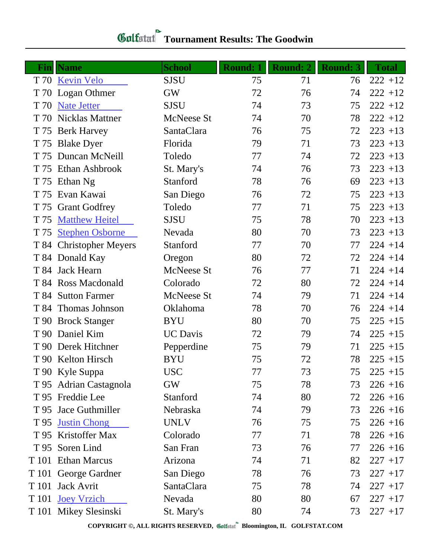| <b>Gulfatut</b> Tournament Results: The Goodwin |  |
|-------------------------------------------------|--|
|                                                 |  |

|      | <b>Fin</b> Name         | <b>School</b>     | <b>Round: 1</b> | <b>Round: 2</b> | <b>Round: 3</b> | <b>Total</b> |
|------|-------------------------|-------------------|-----------------|-----------------|-----------------|--------------|
|      | T 70 Kevin Velo         | <b>SJSU</b>       | 75              | 71              | 76              | $222 + 12$   |
|      | T 70 Logan Othmer       | <b>GW</b>         | 72              | 76              | 74              | $222 + 12$   |
|      | T 70 Nate Jetter        | <b>SJSU</b>       | 74              | 73              | 75              | $222 + 12$   |
|      | T 70 Nicklas Mattner    | McNeese St        | 74              | 70              | 78              | $222 + 12$   |
|      | T 75 Berk Harvey        | SantaClara        | 76              | 75              | 72              | $223 + 13$   |
|      | T 75 Blake Dyer         | Florida           | 79              | 71              | 73              | $223 + 13$   |
|      | T 75 Duncan McNeill     | Toledo            | 77              | 74              | 72              | $223 + 13$   |
|      | T 75 Ethan Ashbrook     | St. Mary's        | 74              | 76              | 73              | $223 + 13$   |
|      | T 75 Ethan Ng           | Stanford          | 78              | 76              | 69              | $223 + 13$   |
| T 75 | Evan Kawai              | San Diego         | 76              | 72              | 75              | $223 + 13$   |
|      | T 75 Grant Godfrey      | Toledo            | 77              | 71              | 75              | $223 + 13$   |
| T 75 | <b>Matthew Heitel</b>   | <b>SJSU</b>       | 75              | 78              | 70              | $223 + 13$   |
| T 75 | <b>Stephen Osborne</b>  | Nevada            | 80              | 70              | 73              | $223 + 13$   |
|      | T 84 Christopher Meyers | Stanford          | 77              | 70              | 77              | $224 + 14$   |
|      | T 84 Donald Kay         | Oregon            | 80              | 72              | 72              | $224 + 14$   |
|      | T 84 Jack Hearn         | McNeese St        | 76              | 77              | 71              | $224 + 14$   |
|      | T 84 Ross Macdonald     | Colorado          | 72              | 80              | 72              | $224 + 14$   |
|      | T 84 Sutton Farmer      | <b>McNeese St</b> | 74              | 79              | 71              | $224 + 14$   |
|      | T 84 Thomas Johnson     | Oklahoma          | 78              | 70              | 76              | $224 + 14$   |
|      | T 90 Brock Stanger      | <b>BYU</b>        | 80              | 70              | 75              | $225 + 15$   |
|      | T 90 Daniel Kim         | <b>UC</b> Davis   | 72              | 79              | 74              | $225 + 15$   |
|      | T 90 Derek Hitchner     | Pepperdine        | 75              | 79              | 71              | $225 + 15$   |
|      | T 90 Kelton Hirsch      | <b>BYU</b>        | 75              | 72              | 78              | $225 + 15$   |
|      | T 90 Kyle Suppa         | <b>USC</b>        | 77              | 73              | 75              | $225 + 15$   |
|      | T 95 Adrian Castagnola  | <b>GW</b>         | 75              | 78              | 73              | $226 + 16$   |
|      | T 95 Freddie Lee        | Stanford          | 74              | 80              | 72              | $226 + 16$   |
|      | T 95 Jace Guthmiller    | Nebraska          | 74              | 79              | 73              | $226 + 16$   |
|      | T 95 Justin Chong       | <b>UNLV</b>       | 76              | 75              | 75              | $226 + 16$   |
|      | T 95 Kristoffer Max     | Colorado          | 77              | 71              | 78              | $226 + 16$   |
|      | T 95 Soren Lind         | San Fran          | 73              | 76              | 77              | $226 + 16$   |
|      | T 101 Ethan Marcus      | Arizona           | 74              | 71              | 82              | $227 + 17$   |
|      | T 101 George Gardner    | San Diego         | 78              | 76              | 73              | $227 + 17$   |
|      | T 101 Jack Avrit        | SantaClara        | 75              | 78              | 74              | $227 + 17$   |
|      | T 101 Joey Vrzich       | Nevada            | 80              | 80              | 67              | $227 + 17$   |
|      | T 101 Mikey Slesinski   | St. Mary's        | 80              | 74              | 73              | $227 + 17$   |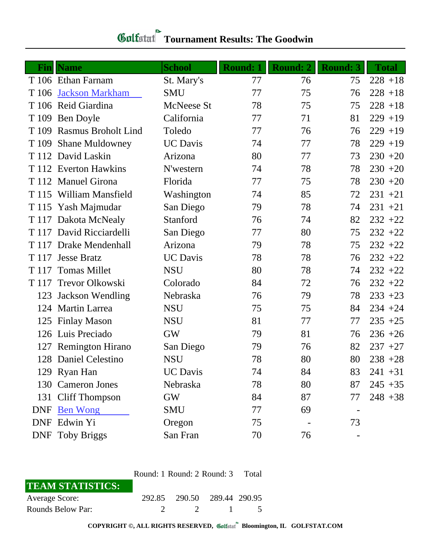| <b>Gulfatul Tournament Results: The Goodwin</b> |  |
|-------------------------------------------------|--|
|                                                 |  |

|       | <b>Fin</b>   Name         | <b>School</b>   | <b>Round: 1</b> | <b>Round: 2</b> | <b>Round: 3</b> | <b>Total</b> |
|-------|---------------------------|-----------------|-----------------|-----------------|-----------------|--------------|
|       | T 106 Ethan Farnam        | St. Mary's      | 77              | 76              | 75              | $228 + 18$   |
| T 106 | <b>Jackson Markham</b>    | <b>SMU</b>      | 77              | 75              | 76              | $228 + 18$   |
|       | T 106 Reid Giardina       | McNeese St      | 78              | 75              | 75              | $228 + 18$   |
|       | T 109 Ben Doyle           | California      | 77              | 71              | 81              | $229 + 19$   |
|       | T 109 Rasmus Broholt Lind | Toledo          | 77              | 76              | 76              | $229 + 19$   |
|       | T 109 Shane Muldowney     | <b>UC</b> Davis | 74              | 77              | 78              | $229 + 19$   |
|       | T 112 David Laskin        | Arizona         | 80              | 77              | 73              | $230 + 20$   |
|       | T 112 Everton Hawkins     | N'western       | 74              | 78              | 78              | $230 + 20$   |
|       | T 112 Manuel Girona       | Florida         | 77              | 75              | 78              | $230 + 20$   |
|       | T 115 William Mansfield   | Washington      | 74              | 85              | 72              | $231 + 21$   |
|       | T 115 Yash Majmudar       | San Diego       | 79              | 78              | 74              | $231 + 21$   |
|       | T 117 Dakota McNealy      | Stanford        | 76              | 74              | 82              | $232 + 22$   |
|       | T 117 David Ricciardelli  | San Diego       | 77              | 80              | 75              | $232 + 22$   |
|       | T 117 Drake Mendenhall    | Arizona         | 79              | 78              | 75              | $232 + 22$   |
|       | T 117 Jesse Bratz         | <b>UC</b> Davis | 78              | 78              | 76              | $232 + 22$   |
| T 117 | <b>Tomas Millet</b>       | <b>NSU</b>      | 80              | 78              | 74              | $232 + 22$   |
| T 117 | Trevor Olkowski           | Colorado        | 84              | 72              | 76              | $232 + 22$   |
| 123   | <b>Jackson Wendling</b>   | Nebraska        | 76              | 79              | 78              | $233 + 23$   |
|       | 124 Martin Larrea         | <b>NSU</b>      | 75              | 75              | 84              | $234 + 24$   |
|       | 125 Finlay Mason          | <b>NSU</b>      | 81              | 77              | 77              | $235 + 25$   |
|       | 126 Luis Preciado         | <b>GW</b>       | 79              | 81              | 76              | $236 + 26$   |
|       | 127 Remington Hirano      | San Diego       | 79              | 76              | 82              | $237 + 27$   |
|       | 128 Daniel Celestino      | <b>NSU</b>      | 78              | 80              | 80              | $238 + 28$   |
|       | 129 Ryan Han              | <b>UC</b> Davis | 74              | 84              | 83              | $241 + 31$   |
|       | 130 Cameron Jones         | Nebraska        | 78              | 80              | 87              | $245 + 35$   |
|       | 131 Cliff Thompson        | GW              | 84              | 87              | 77              | $248 + 38$   |
|       | DNF Ben Wong              | <b>SMU</b>      | 77              | 69              |                 |              |
|       | DNF Edwin Yi              | Oregon          | 75              |                 | 73              |              |
|       | <b>DNF</b> Toby Briggs    | San Fran        | 70              | 76              |                 |              |

|                         | Round: 1 Round: 2 Round: 3 Total |                             |                  |  |
|-------------------------|----------------------------------|-----------------------------|------------------|--|
| <b>TEAM STATISTICS:</b> |                                  |                             |                  |  |
| <b>Average Score:</b>   |                                  | 292.85 290.50 289.44 290.95 |                  |  |
| Rounds Below Par:       |                                  |                             | $\overline{2}$ 1 |  |

**COPYRIGHT ©, ALL RIGHTS RESERVED, Bloomington, IL GOLFSTAT.COM**